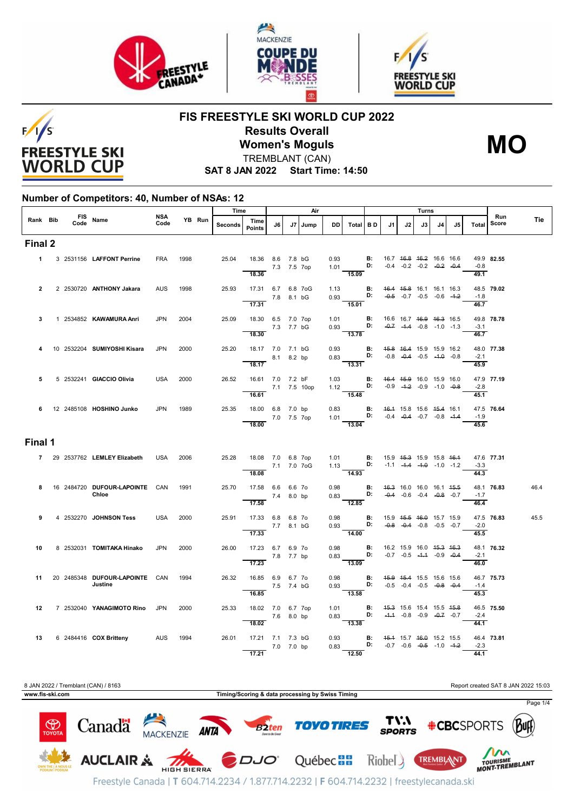





 $F/1/S$ **FREESTYLE SKI WORLD CUP** 

## **FIS FREESTYLE SKI WORLD CUP 2022 Results Overall Women's Moguls** TREMBLANT (CAN)

**MO**

**SAT 8 JAN 2022 Start Time: 14:50**

#### **Number of Competitors: 40, Number of NSAs: 12**

|                |      |                                           |             |      | Time<br>Air |         |                                           |            |  |         | Turns |                                                                                                                                   |  |                                                |    |                                     |                | Run                                |                  |            |      |
|----------------|------|-------------------------------------------|-------------|------|-------------|---------|-------------------------------------------|------------|--|---------|-------|-----------------------------------------------------------------------------------------------------------------------------------|--|------------------------------------------------|----|-------------------------------------|----------------|------------------------------------|------------------|------------|------|
| Rank Bib       | Code | FIS Name                                  | NSA<br>Code |      | YB Run      | Seconds | Time<br>Points                            | J6         |  | J7 Jump | DD.   | Total BD                                                                                                                          |  | J1                                             | J2 | J3                                  | J <sub>4</sub> | .15                                | Total            | Score      | Tie  |
| Final 2        |      |                                           |             |      |             |         |                                           |            |  |         |       |                                                                                                                                   |  |                                                |    |                                     |                |                                    |                  |            |      |
|                |      | 1 3 2531156 LAFFONT Perrine               | <b>FRA</b>  | 1998 |             | 25.04   | 18.36 8.6 7.8 bG<br>7.3 7.5 7op           |            |  |         |       | 0.93 <b>B:</b><br>1.01 <b>D:</b>                                                                                                  |  |                                                |    | 16.7 <del>16.8 16.2</del> 16.6 16.6 |                | $-0.4$ $-0.2$ $-0.2$ $-0.2$ $-0.4$ | $-0.8$           | 49.9 82.55 |      |
|                |      |                                           |             |      |             |         | 18.36                                     |            |  |         |       | 15.09                                                                                                                             |  |                                                |    |                                     |                |                                    | 49.1             |            |      |
| $\overline{2}$ |      | 2 2530720 ANTHONY Jakara                  | <b>AUS</b>  | 1998 |             | 25.93   | 17.31 6.7 6.8 7oG<br>$- 7.8$ 8.1 bG       |            |  |         |       | 1.13 <b>B:</b> 4 <del>6.4 15.8</del> 16.1 16.1 16.3<br>0.93 <b>D:</b> -0.5 -0.7 -0.5 -0.6 -4. <del>2</del>                        |  |                                                |    |                                     |                |                                    | $-1.8$           | 48.5 79.02 |      |
|                |      |                                           |             |      |             |         | 17.31                                     |            |  |         |       | 15.01                                                                                                                             |  |                                                |    |                                     |                |                                    | $\frac{1}{46.7}$ |            |      |
| 3              |      | 1 2534852 KAWAMURA Anri                   | <b>JPN</b>  | 2004 |             | 25.09   | 18.30 6.5 7.0 7op<br>7.3 7.7 bG           |            |  |         |       | 1.01 <b>B:</b><br>0.93 <b>D:</b>                                                                                                  |  | 16.6 16.7 <del>16.9</del> <del>16.3</del> 16.5 |    | $-0.7$ $-1.4$ $-0.8$ $-1.0$ $-1.3$  |                |                                    | $-3.1$           | 49.8 78.78 |      |
|                |      |                                           |             |      |             |         | 18.30                                     |            |  |         |       | $-13.78$                                                                                                                          |  |                                                |    |                                     |                |                                    | 46.7             |            |      |
| 4              |      | 10 2532204 SUMIYOSHI Kisara               | <b>JPN</b>  | 2000 |             | 25.20   | 18.17 7.0 7.1 bG<br>$8.1$ 8.2 bp<br>18.17 |            |  |         |       | 0.93 <b>B:</b> 4 <del>5.8</del> 46.4 15.9 15.9 16.2<br>0.83 <b>D:</b> -0.8 -0.4 -0.5 -4.0 -0.8<br>13.31                           |  |                                                |    |                                     |                |                                    | $-2.1$           | 48.0 77.38 |      |
| 5              |      | 5 2532241 GIACCIO Olivia                  | <b>USA</b>  | 2000 |             | 26.52   | 16.61 7.0 7.2 bF                          |            |  |         | 1.03  |                                                                                                                                   |  | <b>B:</b> 46.4 45.9 16.0 15.9 16.0             |    |                                     |                |                                    | 45.9             | 47.9 77.19 |      |
|                |      |                                           |             |      |             |         | 7.1 7.5 10op<br>16.61                     |            |  |         |       | 1.12 <b>D:</b> -0.9 -4.2 -0.9 -1.0 -0.8<br>15.48                                                                                  |  |                                                |    |                                     |                |                                    | $-2.8$<br>45.1   |            |      |
|                |      | 6 12 2485108 HOSHINO Junko                | <b>JPN</b>  | 1989 |             | 25.35   | 18.00 6.8 7.0 bp                          |            |  |         |       |                                                                                                                                   |  |                                                |    |                                     |                |                                    |                  | 47.5 76.64 |      |
|                |      |                                           |             |      |             |         | 7.0 7.5 7op<br>18.00                      |            |  |         |       | 0.83 <b>B:</b> 46.4 15.8 15.6 45.4 16.1<br>1.01 <b>D:</b> -0.4 -0.4 -0.7 -0.8 -1.4<br>$\overline{13.04}$                          |  |                                                |    |                                     |                |                                    | $-1.9$<br>45.6   |            |      |
| Final 1        |      |                                           |             |      |             |         |                                           |            |  |         |       |                                                                                                                                   |  |                                                |    |                                     |                |                                    |                  |            |      |
|                |      | 7 29 2537762 LEMLEY Elizabeth             | <b>USA</b>  | 2006 |             | 25.28   | 18.08 7.0 6.8 7op                         |            |  |         |       |                                                                                                                                   |  |                                                |    |                                     |                |                                    |                  | 47.6 77.31 |      |
|                |      |                                           |             |      |             |         | 7.1 7.0 7oG<br>18.08                      |            |  |         |       | 1.01 <b>B</b> : 15.9 4 <del>5.3</del> 15.9 15.8 4 <del>6.1</del><br>1.13 <b>D:</b> -1.1 -1.4 -1.0 -1.0 -1.2<br>$\overline{14.93}$ |  |                                                |    |                                     |                |                                    | $-3.3$<br>44.3   |            |      |
| 8              |      | 16 2484720 DUFOUR-LAPOINTE CAN            |             | 1991 |             | 25.70   | 17.58 6.6 6.6 7o                          |            |  |         |       | 0.98 <b>B:</b> 46.3 16.0 16.0 16.1 45.5 0.83 <b>D:</b> -0.4 -0.6 -0.4 -0. <del>8</del> -0.7                                       |  |                                                |    |                                     |                |                                    |                  | 48.1 76.83 | 46.4 |
|                |      | Chloe                                     |             |      |             |         | 7.4 8.0 bp<br>17.58                       |            |  |         |       | $\overline{12.85}$                                                                                                                |  |                                                |    |                                     |                |                                    | $-1.7$<br>46.4   |            |      |
| 9              |      | 4 2532270 JOHNSON Tess                    | <b>USA</b>  | 2000 |             | 25.91   | 17.33 6.8 6.8 70                          |            |  |         |       | 0.98 <b>B:</b> 15.9 4 <del>5.5</del> 46.0 15.7 15.9                                                                               |  |                                                |    |                                     |                |                                    |                  | 47.5 76.83 | 45.5 |
|                |      |                                           |             |      |             |         | 7.7 8.1 bG<br>$\overline{17.33}$          |            |  |         |       | $-14.00$                                                                                                                          |  |                                                |    |                                     |                |                                    | $-2.0$<br>45.5   |            |      |
| 10             |      | 8 2532031 <b>TOMITAKA Hinako</b>          | <b>JPN</b>  | 2000 |             | 26.00   | 17.23 6.7 6.9 7o                          |            |  |         |       | 0.98 <b>B</b> : 16.2 15.9 16.0 <del>15.3 16.3</del><br>0.83 <b>D:</b> -0.7 -0.5 -4.4 -0.9 -0.4                                    |  |                                                |    |                                     |                |                                    | $-2.1$           | 48.1 76.32 |      |
|                |      |                                           |             |      |             |         | 7.8 7.7 bp<br>17.23                       |            |  |         |       | $\frac{1}{13.09}$                                                                                                                 |  |                                                |    |                                     |                |                                    | 46.0             |            |      |
| 11             |      | 20 2485348 DUFOUR-LAPOINTE CAN<br>Justine |             | 1994 |             | 26.32   | 16.85 6.9 6.7 70<br>7.5 7.4 bG            |            |  |         |       | 0.98 <b>B</b> : 4 <del>5.9</del> 45.4 15.5 15.6 15.6<br>0.93 <b>D:</b> -0.5 -0.4 -0.5 -0. <del>8</del> -0.4                       |  |                                                |    |                                     |                |                                    | $-1.4$           | 46.7 75.73 |      |
|                |      |                                           |             |      |             |         | 16.85                                     |            |  |         |       | $\frac{1}{13.58}$                                                                                                                 |  |                                                |    |                                     |                |                                    | 45.3             |            |      |
| 12             |      | 7 2532040 YANAGIMOTO Rino                 | <b>JPN</b>  | 2000 |             | 25.33   | 18.02 7.0 6.7 7op<br>7.6 8.0 bp           |            |  |         |       | 1.01 <b>B</b> : 45.3 15.6 15.4 15.5 45.8<br>0.83 <b>D:</b> -4.4 -0.8 -0.9 -0.7 -0.7                                               |  |                                                |    |                                     |                |                                    | $-2.4$           | 46.5 75.50 |      |
|                |      |                                           |             |      |             |         | 18.02                                     |            |  |         |       | 13.38                                                                                                                             |  |                                                |    |                                     |                |                                    | 44.1             |            |      |
|                |      | 13 6 2484416 COX Britteny AUS 1994        |             |      |             | 26.01   | 17.21 7.1 7.3 bG                          | 7.0 7.0 bp |  |         |       | 0.93 <b>B:</b> 4 <del>5.1</del> 15.7 46.0 15.2 15.5<br>0.83 <b>D:</b> -0.7 -0.6 -0. <del>5</del> -1.0 -4.2                        |  |                                                |    |                                     |                |                                    | $-2.3$           | 46.4 73.81 |      |
|                |      |                                           |             |      |             |         | 17.21                                     |            |  |         |       | $\frac{1}{12.50}$                                                                                                                 |  |                                                |    |                                     |                |                                    | 44.1             |            |      |

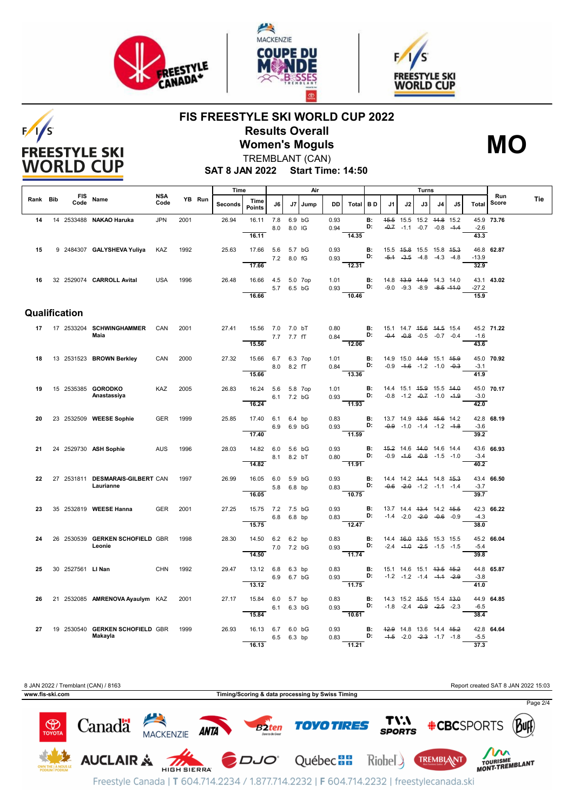

 $F/1/S$ 

**FREESTYLE SKI WORLD CUP** 





# **FIS FREESTYLE SKI WORLD CUP 2022 Results Overall Women's Moguls**



TREMBLANT (CAN)

**SAT 8 JAN 2022 Start Time: 14:50**

|          |                    |                                               |                    |      |        | Time    |                       |     |            | Air  |                     |                                                       |                 |                                                |                                                                |    | Turns          |    |                | Run        |     |
|----------|--------------------|-----------------------------------------------|--------------------|------|--------|---------|-----------------------|-----|------------|------|---------------------|-------------------------------------------------------|-----------------|------------------------------------------------|----------------------------------------------------------------|----|----------------|----|----------------|------------|-----|
| Rank Bib | <b>FIS</b><br>Code | Name                                          | <b>NSA</b><br>Code |      | YB Run | Seconds | Time<br><b>Points</b> | J6  | J7         | Jump | DD                  | Total BD                                              |                 | J1                                             | J2                                                             | J3 | J <sub>4</sub> | J5 | Total          | Score      | Tie |
| 14       |                    | 14 2533488 NAKAO Haruka                       | <b>JPN</b>         | 2001 |        | 26.94   | 16.11 7.8             |     | 6.9 bG     |      | 0.93                |                                                       | B:              |                                                | 45.5 15.5 15.2 44.8 15.2                                       |    |                |    |                | 45.9 73.76 |     |
|          |                    |                                               |                    |      |        |         | 16.11                 | 8.0 | 8.0 IG     |      | 0.94                | 14.35                                                 | D:              |                                                | $-0.7 - 1.1 - 0.7 - 0.8 - 1.4$                                 |    |                |    | $-2.6$<br>43.3 |            |     |
|          |                    |                                               |                    |      |        |         |                       |     |            |      |                     |                                                       |                 |                                                |                                                                |    |                |    |                |            |     |
| 15       |                    | 9 2484307 GALYSHEVA Yuliya                    | KAZ                | 1992 |        | 25.63   | 17.66 5.6 5.7 bG      |     | 7.2 8.0 fG |      | 0.93<br>0.93        |                                                       | <b>B:</b><br>D: |                                                | 15.5 45.8 15.5 15.8 45.3<br>$-5.1$ $-3.5$ $-4.8$ $-4.3$ $-4.8$ |    |                |    | $-13.9$        | 46.8 62.87 |     |
|          |                    |                                               |                    |      |        |         | 17.66                 |     |            |      |                     | 12.31                                                 |                 |                                                |                                                                |    |                |    | 32.9           |            |     |
|          |                    | 16 32 2529074 CARROLL Avital                  | <b>USA</b>         | 1996 |        | 26.48   | 16.66 4.5 5.0 7op     |     |            |      | 1.01                |                                                       | B:              |                                                | 14.8 13.9 14.9 14.3 14.0                                       |    |                |    |                | 43.1 43.02 |     |
|          |                    |                                               |                    |      |        |         |                       |     | 5.7 6.5 bG |      | 0.93                |                                                       | D:              |                                                | $-9.0$ $-9.3$ $-8.9$ $-8.5$ $-44.0$                            |    |                |    | $-27.2$        |            |     |
|          |                    |                                               |                    |      |        |         | 16.66                 |     |            |      |                     | 10.46                                                 |                 |                                                |                                                                |    |                |    | 15.9           |            |     |
|          | Qualification      |                                               |                    |      |        |         |                       |     |            |      |                     |                                                       |                 |                                                |                                                                |    |                |    |                |            |     |
|          |                    | 17 17 2533204 SCHWINGHAMMER                   | CAN                | 2001 |        | 27.41   | 15.56 7.0 7.0 bT      |     |            |      | 0.80                |                                                       | B:              |                                                | 15.1 14.7 45.6 44.5 15.4                                       |    |                |    |                | 45.2 71.22 |     |
|          |                    | Maia                                          |                    |      |        |         |                       |     | 7.7 7.7 fT |      | 0.84                |                                                       | D:              |                                                | $-0.4$ $-0.8$ $-0.5$ $-0.7$ $-0.4$                             |    |                |    | $-1.6$         |            |     |
|          |                    |                                               |                    |      |        |         | 15.56                 |     |            |      |                     | $\frac{12.06}{ }$                                     |                 |                                                |                                                                |    |                |    | 43.6           |            |     |
| 18       |                    | 13 2531523 BROWN Berkley                      | CAN                | 2000 |        | 27.32   | 15.66 6.7 6.3 7op     |     |            |      | 1.01                |                                                       | B:              | 14.9 15.0 <del>14.9</del> 15.1 <del>15.9</del> |                                                                |    |                |    |                | 45.0 70.92 |     |
|          |                    |                                               |                    |      |        |         | 15.66                 |     | 8.0 8.2 fT |      | 0.84                | <b>D:</b> $-0.9$ $-4.6$ $-1.2$ $-1.0$ $-0.3$<br>13.36 |                 |                                                |                                                                |    |                |    | $-3.1$<br>41.9 |            |     |
|          |                    |                                               |                    |      |        |         |                       |     |            |      |                     |                                                       |                 |                                                |                                                                |    |                |    |                |            |     |
| 19       |                    | 15 2535385 GORODKO<br>Anastassiya             | KAZ                | 2005 |        | 26.83   | 16.24 5.6 5.8 7op     |     | 6.1 7.2 bG |      | 1.01<br>0.93        | D:                                                    | <b>B:</b>       | 14.4 15.1 <del>15.9</del> 15.5 <del>14.0</del> | $-0.8$ $-1.2$ $-0.7$ $-1.0$ $-4.9$                             |    |                |    | $-3.0$         | 45.0 70.17 |     |
|          |                    |                                               |                    |      |        |         | 16.24                 |     |            |      |                     | $-11.93$                                              |                 |                                                |                                                                |    |                |    | 42.0           |            |     |
| 20       |                    | 23 2532509 WEESE Sophie                       | <b>GER</b>         | 1999 |        | 25.85   | 17.40 6.1 6.4 bp      |     |            |      | 0.83                |                                                       | <b>B:</b>       | 13.7 14.9 <del>13.5</del> <del>15.6</del> 14.2 |                                                                |    |                |    |                | 42.8 68.19 |     |
|          |                    |                                               |                    |      |        |         |                       |     | 6.9 6.9 bG |      |                     | $0.93$ D:                                             |                 |                                                | $-0.9$ $-1.0$ $-1.4$ $-1.2$ $-4.8$                             |    |                |    | $-3.6$         |            |     |
|          |                    |                                               |                    |      |        |         | 17.40                 |     |            |      |                     | 11.59                                                 |                 |                                                |                                                                |    |                |    | 39.2           |            |     |
| 21       |                    | 24 2529730 ASH Sophie                         | <b>AUS</b>         | 1996 |        | 28.03   | 14.82 6.0 5.6 bG      |     |            |      | 0.93                |                                                       | B:              |                                                | 45.2 14.6 44.0 14.6 14.4                                       |    |                |    |                | 43.6 66.93 |     |
|          |                    |                                               |                    |      |        |         | 14.82                 | 8.1 | 8.2 bT     |      | 0.80<br>and a state | $\overline{11.91}$                                    | D:              |                                                | $-0.9$ $-4.6$ $-0.8$ $-1.5$ $-1.0$                             |    |                |    | $-3.4$<br>40.2 |            |     |
|          |                    |                                               |                    |      |        |         |                       |     |            |      |                     |                                                       |                 |                                                |                                                                |    |                |    |                |            |     |
| 22       |                    | 27 2531811 DESMARAIS GILBERT CAN<br>Laurianne |                    | 1997 |        | 26.99   | 16.05 6.0 5.9 bG      |     | 5.8 6.8 bp |      | 0.93<br>0.83        |                                                       | <b>B:</b><br>D: | 14.4 14.2 44.4 14.8 45.3                       | $-0.6$ $-2.0$ $-1.2$ $-1.1$ $-1.4$                             |    |                |    | $-3.7$         | 43.4 66.50 |     |
|          |                    |                                               |                    |      |        |         | 16.05                 |     |            |      |                     | 10.75                                                 |                 |                                                |                                                                |    |                |    | 39.7           |            |     |
| 23       |                    | 35 2532819 WEESE Hanna                        | GER                | 2001 |        | 27.25   | 15.75 7.2 7.5 bG      |     |            |      | 0.93                |                                                       | <b>B:</b>       |                                                | 13.7 14.4 <del>13.4</del> 14.2 <del>15.5</del>                 |    |                |    |                | 42.3 66.22 |     |
|          |                    |                                               |                    |      |        |         |                       |     | 6.8 6.8 bp |      | 0.83                |                                                       | D:              |                                                | $-1.4$ $-2.0$ $-2.0$ $-0.6$ $-0.9$                             |    |                |    | $-4.3$         |            |     |
|          |                    |                                               |                    |      |        |         | 15.75                 |     |            |      |                     | 12.47                                                 |                 |                                                |                                                                |    |                |    | 38.0           |            |     |
| 24       |                    | 26 2530539 GERKEN SCHOFIELD GBR               |                    | 1998 |        | 28.30   | 14.50 6.2 6.2 bp      |     |            |      | 0.83                |                                                       | <b>B:</b>       | 14.4 46.0 43.5 15.3 15.5                       |                                                                |    |                |    |                | 45.2 66.04 |     |
|          |                    | Leonie                                        |                    |      |        |         | 14.50                 |     | 7.0 7.2 bG |      |                     | 0.93<br>11.74                                         | D:              |                                                | $-2.4$ $-4.0$ $-2.5$ $-1.5$ $-1.5$                             |    |                |    | $-5.4$<br>39.8 |            |     |
|          |                    |                                               |                    |      |        |         |                       |     |            |      |                     |                                                       |                 |                                                |                                                                |    |                |    |                |            |     |
| 25       | 30 2527561 LINan   |                                               | <b>CHN</b>         | 1992 |        | 29.47   | 13.12 6.8 6.3 bp      |     | 6.9 6.7 bG |      | 0.83<br>0.93        |                                                       | <b>B:</b><br>D: |                                                | 15.1 14.6 15.1 43.5 45.2<br>$-1.2$ $-1.2$ $-1.4$ $-4.4$ $-2.9$ |    |                |    | $-3.8$         | 44.8 65.87 |     |
|          |                    |                                               |                    |      |        |         | 13.12                 |     |            |      |                     | 11.75                                                 |                 |                                                |                                                                |    |                |    | 41.0           |            |     |
| 26       |                    | 21 2532085 AMRENOVA Ayaulym KAZ               |                    | 2001 |        | 27.17   | 15.84 6.0 5.7 bp      |     |            |      | 0.83                |                                                       | <b>B:</b>       |                                                | 14.3 15.2 45.5 15.4 43.0                                       |    |                |    |                | 44.9 64.85 |     |
|          |                    |                                               |                    |      |        |         |                       |     | 6.1 6.3 bG |      | 0.93                |                                                       | D:              |                                                | $-1.8$ $-2.4$ $-0.9$ $-2.5$ $-2.3$                             |    |                |    | $-6.5$         |            |     |
|          |                    |                                               |                    |      |        |         | 15.84                 |     |            |      |                     | 10.61                                                 |                 |                                                |                                                                |    |                |    | 38.4           |            |     |
| 27       |                    | 19 2530540 GERKEN SCHOFIELD GBR               |                    | 1999 |        | 26.93   | 16.13 6.7 6.0 bG      |     |            |      | 0.93                |                                                       |                 | <b>B:</b> 42.9 14.8 13.6 14.4 45.2             |                                                                |    |                |    |                | 42.8 64.64 |     |
|          |                    | Makayla                                       |                    |      |        |         | 16.13                 |     | 6.5 6.3 bp |      | 0.83                | 11.21                                                 | D:              |                                                | $-4.5$ $-2.0$ $-2.3$ $-1.7$ $-1.8$                             |    |                |    | $-5.5$<br>37.3 |            |     |
|          |                    |                                               |                    |      |        |         |                       |     |            |      |                     |                                                       |                 |                                                |                                                                |    |                |    |                |            |     |

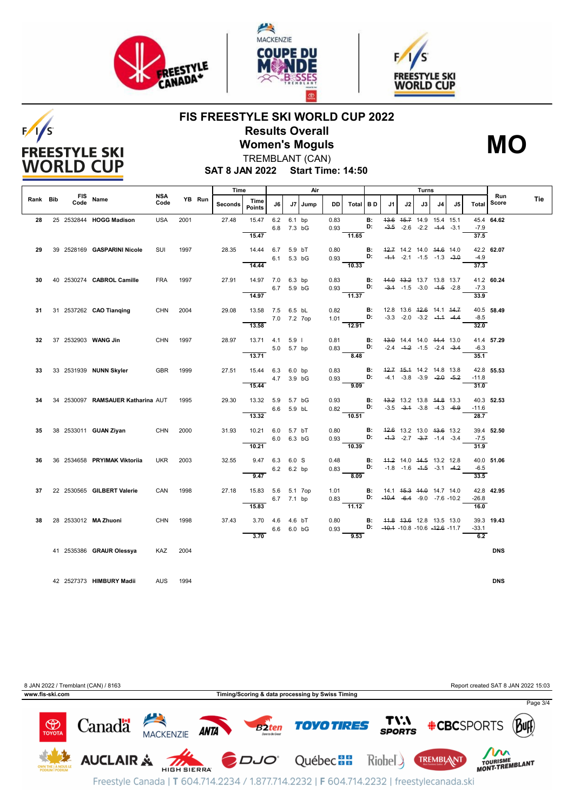

 $F/I/S$ 

**FREESTYLE SKI WORLD CUP** 





## **FIS FREESTYLE SKI WORLD CUP 2022 Results Overall Women's Moguls**



**SAT 8 JAN 2022 Start Time: 14:50** TREMBLANT (CAN)

|          |      |                                      |             |      |        | Time    |                                 |             |        | Air     |              |                                                                     | Turns     |                                                          |                                                                |    |    |    |                             |              |     |
|----------|------|--------------------------------------|-------------|------|--------|---------|---------------------------------|-------------|--------|---------|--------------|---------------------------------------------------------------------|-----------|----------------------------------------------------------|----------------------------------------------------------------|----|----|----|-----------------------------|--------------|-----|
| Rank Bib | Code | FIS Name                             | NSA<br>Code |      | YB Run | Seconds | Time<br><b>Points</b>           | J6 I        |        | J7 Jump | DD I         | Total BD                                                            |           | J1                                                       | J2                                                             | J3 | J4 | J5 | Total                       | Run<br>Score | Tie |
| 28       |      | 25 2532844 HOGG Madison              | <b>USA</b>  | 2001 |        | 27.48   | 15.47 6.2                       |             | 6.1 bp |         | 0.83         |                                                                     | В:<br>D:  |                                                          | 43.6 45.7 14.9 15.4 15.1                                       |    |    |    |                             | 45.4 64.62   |     |
|          |      |                                      |             |      |        |         | 15.47                           | 6.8 7.3 bG  |        |         | 0.93         | 11.65                                                               |           |                                                          | $-3.5$ $-2.6$ $-2.2$ $-4.4$ $-3.1$                             |    |    |    | $-7.9$<br>37.5              |              |     |
| 29       |      | 39 2528169 GASPARINI Nicole          | SUI         | 1997 |        | 28.35   | 14.44 6.7 5.9 bT                |             |        |         | 0.80         |                                                                     |           | <b>B:</b> 42.7 14.2 14.0 44.6 14.0                       |                                                                |    |    |    |                             | 42.2 62.07   |     |
|          |      |                                      |             |      |        |         | 14.44                           | 6.1 5.3 bG  |        |         | 0.93         | D:<br>$\overline{10.33}$                                            |           |                                                          | $-4.4$ $-2.1$ $-1.5$ $-1.3$ $-3.0$                             |    |    |    | $-4.9$<br>$\overline{37.3}$ |              |     |
| 30       |      | 40 2530274 CABROL Camille            | <b>FRA</b>  | 1997 |        | 27.91   | 14.97 7.0 6.3 bp                |             |        |         | 0.83         |                                                                     |           | <b>B:</b> 44.0 43.2 13.7 13.8 13.7                       |                                                                |    |    |    |                             | 41.2 60.24   |     |
|          |      |                                      |             |      |        |         | 6.7 5.9 bG                      |             |        |         |              | 0.93 <b>D:</b> $-3.4$ $-1.5$ $-3.0$ $-4.5$ $-2.8$                   |           |                                                          |                                                                |    |    |    | $-7.3$                      |              |     |
|          |      |                                      |             |      |        |         | 14.97                           |             |        |         |              | $\frac{1}{11.37}$                                                   |           |                                                          |                                                                |    |    |    | 33.9                        |              |     |
| 31       |      | 31 2537262 CAO Tianging              | CHN 2004    |      |        | 29.08   | 13.58 7.5 6.5 bL                | 7.0 7.2 7op |        |         | 0.82<br>1.01 |                                                                     | D:        | <b>B:</b> 12.8 13.6 <del>12.6</del> 14.1 <del>14.7</del> | $-3.3$ $-2.0$ $-3.2$ $-4.4$ $-4.4$                             |    |    |    | $-8.5$                      | 40.5 58.49   |     |
|          |      |                                      |             |      |        |         | 13.58                           |             |        |         |              | $-12.91$                                                            |           |                                                          |                                                                |    |    |    | 32.0                        |              |     |
| 32       |      | 37 2532903 WANG Jin                  | <b>CHN</b>  | 1997 |        | 28.97   | 13.71 4.1 5.9 1                 |             |        |         | 0.81         | D:                                                                  | <b>B:</b> |                                                          | 43.0 14.4 14.0 44.4 13.0<br>$-2.4$ $-4.2$ $-1.5$ $-2.4$ $-3.4$ |    |    |    | $-6.3$                      | 41.4 57.29   |     |
|          |      |                                      |             |      |        |         | 13.71                           | 5.0 5.7 bp  |        |         | 0.83         | 8.48                                                                |           |                                                          |                                                                |    |    |    | 35.1                        |              |     |
| 33       |      | 33 2531939 NUNN Skyler<br><b>GBR</b> |             | 1999 |        | 27.51   | 15.44 6.3 6.0 bp                |             |        |         | 0.83         |                                                                     | <b>B:</b> |                                                          | 42.7 45.4 14.2 14.8 13.8                                       |    |    |    |                             | 42.8 55.53   |     |
|          |      |                                      |             |      |        |         | 15.44                           | 4.7 3.9 bG  |        |         | 0.93         | 9.09                                                                | D:        |                                                          | $-4.1$ $-3.8$ $-3.9$ $-2.0$ $-5.2$                             |    |    |    | $-11.8$<br>31.0             |              |     |
| 34       |      | 34 2530097 RAMSAUER Katharina AUT    |             | 1995 |        | 29.30   | 13.32 5.9 5.7 bG                |             |        |         | 0.93         |                                                                     |           | <b>B:</b> 43.2 13.2 13.8 44.8 13.3                       |                                                                |    |    |    |                             | 40.3 52.53   |     |
|          |      |                                      |             |      |        |         |                                 | 6.6 5.9 bL  |        |         | 0.82         |                                                                     | D:        |                                                          | $-3.5$ $-3.4$ $-3.8$ $-4.3$ $-6.9$                             |    |    |    | $-11.6$                     |              |     |
|          |      |                                      |             |      |        |         | 13.32                           |             |        |         |              | 10.51                                                               |           |                                                          |                                                                |    |    |    | 28.7                        |              |     |
| 35       |      | 38 2533011 GUAN Ziyan                | <b>CHN</b>  | 2000 |        | 31.93   | 10.21 6.0 5.7 bT                | 6.0 6.3 bG  |        |         | 0.80<br>0.93 | <b>D:</b> $-4.3$ $-2.7$ $-3.7$ $-1.4$ $-3.4$                        |           | <b>B:</b> 42.6 13.2 13.0 43.6 13.2                       |                                                                |    |    |    | $-7.5$                      | 39.4 52.50   |     |
|          |      |                                      |             |      |        |         | 10.21                           |             |        |         |              | 10.39                                                               |           |                                                          |                                                                |    |    |    | 31.9                        |              |     |
| 36       |      | 36 2534658 PRYIMAK Viktoriia         | <b>UKR</b>  | 2003 |        | 32.55   | 9.47 6.3 6.0 S                  |             |        |         | 0.48         | <b>D:</b> $-1.8$ $-1.6$ $-1.5$ $-3.1$ $-4.2$                        |           | <b>B:</b> 44.2 14.0 44.5 13.2 12.8                       |                                                                |    |    |    | $-6.5$                      | 40.0 51.06   |     |
|          |      |                                      |             |      |        |         | 6.2 6.2 bp<br>$\overline{9.47}$ |             |        |         | 0.83         | 8.09                                                                |           |                                                          |                                                                |    |    |    | 33.5                        |              |     |
| 37       |      | 22 2530565 GILBERT Valerie           | CAN         | 1998 |        | 27.18   | 15.83 5.6 5.1 7op               |             |        |         | 1.01         |                                                                     |           | <b>B:</b> 14.1 4 <del>5.3</del> 44.0 14.7 14.0           |                                                                |    |    |    |                             | 42.8 42.95   |     |
|          |      |                                      |             |      |        |         | 15.83                           | 6.7 7.1 bp  |        |         | 0.83         | <b>D:</b> $-40.4$ $-6.4$ $-9.0$ $-7.6$ $-10.2$<br>$\frac{1}{11.12}$ |           |                                                          |                                                                |    |    |    | $-26.8$<br>16.0             |              |     |
| 38       |      | 28 2533012 MA Zhuoni                 | CHN         | 1998 |        | 37.43   | 3.70  4.6  4.6  bT              |             |        |         | 0.80         |                                                                     |           | <b>B:</b> 44.8 43.6 12.8 13.5 13.0                       |                                                                |    |    |    |                             | 39.3 19.43   |     |
|          |      |                                      |             |      |        |         |                                 | 6.6 6.0 bG  |        |         | 0.93         | $D: 40.4 - 10.8 - 10.6 - 12.6 - 11.7$                               |           |                                                          |                                                                |    |    |    | $-33.1$                     |              |     |
|          |      |                                      |             |      |        |         | 3.70                            |             |        |         |              | 9.53                                                                |           |                                                          |                                                                |    |    |    | 6.2                         |              |     |
|          |      | 41 2535386 <b>GRAUR Olessya</b>      | KAZ 2004    |      |        |         |                                 |             |        |         |              |                                                                     |           |                                                          |                                                                |    |    |    |                             | <b>DNS</b>   |     |
|          |      |                                      |             |      |        |         |                                 |             |        |         |              |                                                                     |           |                                                          |                                                                |    |    |    |                             |              |     |
|          |      | 42 2527373 HIMBURY Madii             | AUS 1994    |      |        |         |                                 |             |        |         |              |                                                                     |           |                                                          |                                                                |    |    |    |                             | <b>DNS</b>   |     |